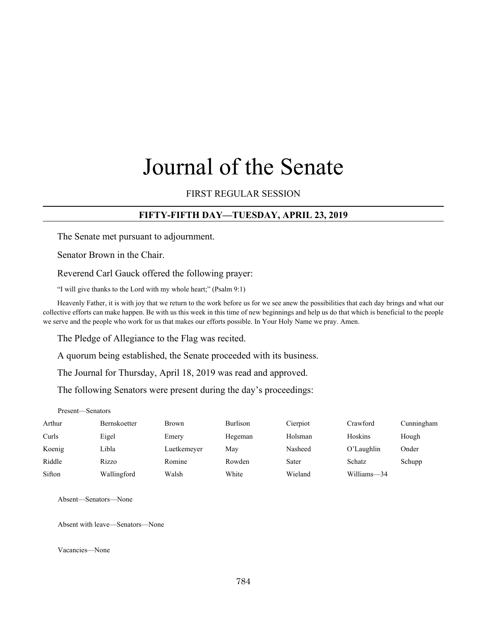# Journal of the Senate

#### FIRST REGULAR SESSION

#### **FIFTY-FIFTH DAY—TUESDAY, APRIL 23, 2019**

The Senate met pursuant to adjournment.

Senator Brown in the Chair.

Reverend Carl Gauck offered the following prayer:

"I will give thanks to the Lord with my whole heart;" (Psalm 9:1)

Heavenly Father, it is with joy that we return to the work before us for we see anew the possibilities that each day brings and what our collective efforts can make happen. Be with us this week in this time of new beginnings and help us do that which is beneficial to the people we serve and the people who work for us that makes our efforts possible. In Your Holy Name we pray. Amen.

The Pledge of Allegiance to the Flag was recited.

A quorum being established, the Senate proceeded with its business.

The Journal for Thursday, April 18, 2019 was read and approved.

The following Senators were present during the day's proceedings:

Present—Senators

| Arthur | <b>Bernskoetter</b> | <b>Brown</b> | <b>Burlison</b> | Cierpiot | Crawford    | Cunningham |
|--------|---------------------|--------------|-----------------|----------|-------------|------------|
| Curls  | Eigel               | Emery        | Hegeman         | Holsman  | Hoskins     | Hough      |
| Koenig | Libla               | Luetkemeyer  | May             | Nasheed  | O'Laughlin  | Onder      |
| Riddle | Rizzo               | Romine       | Rowden          | Sater    | Schatz      | Schupp     |
| Sifton | Wallingford         | Walsh        | White           | Wieland  | Williams-34 |            |

Absent—Senators—None

Absent with leave—Senators—None

Vacancies—None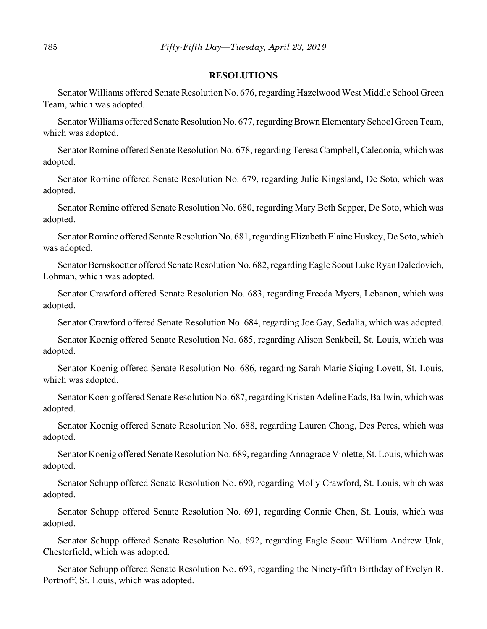#### **RESOLUTIONS**

Senator Williams offered Senate Resolution No. 676, regarding Hazelwood West Middle School Green Team, which was adopted.

Senator Williams offered Senate Resolution No. 677, regarding Brown Elementary School Green Team, which was adopted.

Senator Romine offered Senate Resolution No. 678, regarding Teresa Campbell, Caledonia, which was adopted.

Senator Romine offered Senate Resolution No. 679, regarding Julie Kingsland, De Soto, which was adopted.

Senator Romine offered Senate Resolution No. 680, regarding Mary Beth Sapper, De Soto, which was adopted.

Senator Romine offered Senate Resolution No. 681, regarding Elizabeth Elaine Huskey, De Soto, which was adopted.

Senator Bernskoetter offered Senate Resolution No. 682, regarding Eagle Scout Luke Ryan Daledovich, Lohman, which was adopted.

Senator Crawford offered Senate Resolution No. 683, regarding Freeda Myers, Lebanon, which was adopted.

Senator Crawford offered Senate Resolution No. 684, regarding Joe Gay, Sedalia, which was adopted.

Senator Koenig offered Senate Resolution No. 685, regarding Alison Senkbeil, St. Louis, which was adopted.

Senator Koenig offered Senate Resolution No. 686, regarding Sarah Marie Siqing Lovett, St. Louis, which was adopted.

Senator Koenig offered Senate Resolution No. 687, regarding Kristen Adeline Eads, Ballwin, which was adopted.

Senator Koenig offered Senate Resolution No. 688, regarding Lauren Chong, Des Peres, which was adopted.

Senator Koenig offered Senate Resolution No. 689, regarding Annagrace Violette, St. Louis, which was adopted.

Senator Schupp offered Senate Resolution No. 690, regarding Molly Crawford, St. Louis, which was adopted.

Senator Schupp offered Senate Resolution No. 691, regarding Connie Chen, St. Louis, which was adopted.

Senator Schupp offered Senate Resolution No. 692, regarding Eagle Scout William Andrew Unk, Chesterfield, which was adopted.

Senator Schupp offered Senate Resolution No. 693, regarding the Ninety-fifth Birthday of Evelyn R. Portnoff, St. Louis, which was adopted.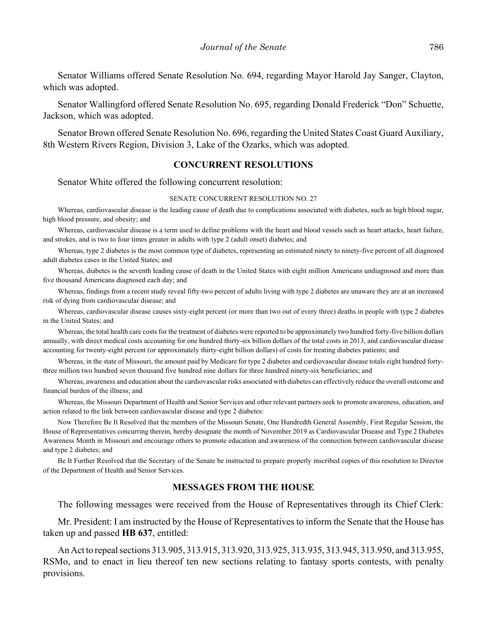Senator Williams offered Senate Resolution No. 694, regarding Mayor Harold Jay Sanger, Clayton, which was adopted.

Senator Wallingford offered Senate Resolution No. 695, regarding Donald Frederick "Don" Schuette, Jackson, which was adopted.

Senator Brown offered Senate Resolution No. 696, regarding the United States Coast Guard Auxiliary, 8th Western Rivers Region, Division 3, Lake of the Ozarks, which was adopted.

#### **CONCURRENT RESOLUTIONS**

Senator White offered the following concurrent resolution:

#### SENATE CONCURRENT RESOLUTION NO. 27

Whereas, cardiovascular disease is the leading cause of death due to complications associated with diabetes, such as high blood sugar, high blood pressure, and obesity; and

Whereas, cardiovascular disease is a term used to define problems with the heart and blood vessels such as heart attacks, heart failure, and strokes, and is two to four times greater in adults with type 2 (adult onset) diabetes; and

Whereas, type 2 diabetes is the most common type of diabetes, representing an estimated ninety to ninety-five percent of all diagnosed adult diabetes cases in the United States; and

Whereas, diabetes is the seventh leading cause of death in the United States with eight million Americans undiagnosed and more than five thousand Americans diagnosed each day; and

Whereas, findings from a recent study reveal fifty-two percent of adults living with type 2 diabetes are unaware they are at an increased risk of dying from cardiovascular disease; and

Whereas, cardiovascular disease causes sixty-eight percent (or more than two out of every three) deaths in people with type 2 diabetes in the United States; and

Whereas, the total health care costs for the treatment of diabetes were reported to be approximately two hundred forty-five billion dollars annually, with direct medical costs accounting for one hundred thirty-six billion dollars of the total costs in 2013, and cardiovascular disease accounting for twenty-eight percent (or approximately thirty-eight billion dollars) of costs for treating diabetes patients; and

Whereas, in the state of Missouri, the amount paid by Medicare for type 2 diabetes and cardiovascular disease totals eight hundred fortythree million two hundred seven thousand five hundred nine dollars for three hundred ninety-six beneficiaries; and

Whereas, awareness and education about the cardiovascular risks associated with diabetes can effectively reduce the overall outcome and financial burden of the illness; and

Whereas, the Missouri Department of Health and Senior Services and other relevant partners seek to promote awareness, education, and action related to the link between cardiovascular disease and type 2 diabetes:

Now Therefore Be It Resolved that the members of the Missouri Senate, One Hundredth General Assembly, First Regular Session, the House of Representatives concurring therein, hereby designate the month of November 2019 as Cardiovascular Disease and Type 2 Diabetes Awareness Month in Missouri and encourage others to promote education and awareness of the connection between cardiovascular disease and type 2 diabetes; and

Be It Further Resolved that the Secretary of the Senate be instructed to prepare properly inscribed copies of this resolution to Director of the Department of Health and Senior Services.

#### **MESSAGES FROM THE HOUSE**

The following messages were received from the House of Representatives through its Chief Clerk:

Mr. President: I am instructed by the House of Representatives to inform the Senate that the House has taken up and passed **HB 637**, entitled:

An Act to repeal sections 313.905, 313.915, 313.920, 313.925, 313.935, 313.945, 313.950, and 313.955, RSMo, and to enact in lieu thereof ten new sections relating to fantasy sports contests, with penalty provisions.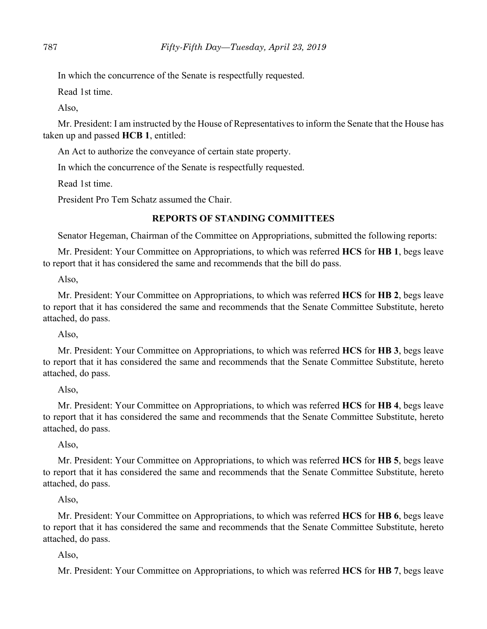In which the concurrence of the Senate is respectfully requested.

Read 1st time.

Also,

Mr. President: I am instructed by the House of Representatives to inform the Senate that the House has taken up and passed **HCB 1**, entitled:

An Act to authorize the conveyance of certain state property.

In which the concurrence of the Senate is respectfully requested.

Read 1st time.

President Pro Tem Schatz assumed the Chair.

# **REPORTS OF STANDING COMMITTEES**

Senator Hegeman, Chairman of the Committee on Appropriations, submitted the following reports:

Mr. President: Your Committee on Appropriations, to which was referred **HCS** for **HB 1**, begs leave to report that it has considered the same and recommends that the bill do pass.

Also,

Mr. President: Your Committee on Appropriations, to which was referred **HCS** for **HB 2**, begs leave to report that it has considered the same and recommends that the Senate Committee Substitute, hereto attached, do pass.

Also,

Mr. President: Your Committee on Appropriations, to which was referred **HCS** for **HB 3**, begs leave to report that it has considered the same and recommends that the Senate Committee Substitute, hereto attached, do pass.

Also,

Mr. President: Your Committee on Appropriations, to which was referred **HCS** for **HB 4**, begs leave to report that it has considered the same and recommends that the Senate Committee Substitute, hereto attached, do pass.

Also,

Mr. President: Your Committee on Appropriations, to which was referred **HCS** for **HB 5**, begs leave to report that it has considered the same and recommends that the Senate Committee Substitute, hereto attached, do pass.

Also,

Mr. President: Your Committee on Appropriations, to which was referred **HCS** for **HB 6**, begs leave to report that it has considered the same and recommends that the Senate Committee Substitute, hereto attached, do pass.

Also,

Mr. President: Your Committee on Appropriations, to which was referred **HCS** for **HB 7**, begs leave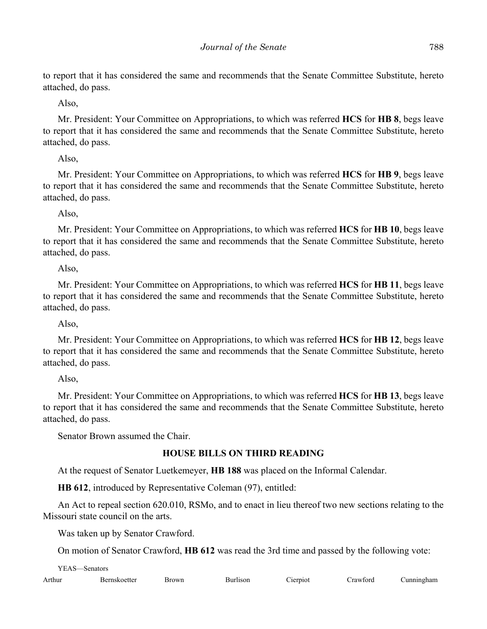to report that it has considered the same and recommends that the Senate Committee Substitute, hereto attached, do pass.

Also,

Mr. President: Your Committee on Appropriations, to which was referred **HCS** for **HB 8**, begs leave to report that it has considered the same and recommends that the Senate Committee Substitute, hereto attached, do pass.

Also,

Mr. President: Your Committee on Appropriations, to which was referred **HCS** for **HB 9**, begs leave to report that it has considered the same and recommends that the Senate Committee Substitute, hereto attached, do pass.

Also,

Mr. President: Your Committee on Appropriations, to which was referred **HCS** for **HB 10**, begs leave to report that it has considered the same and recommends that the Senate Committee Substitute, hereto attached, do pass.

Also,

Mr. President: Your Committee on Appropriations, to which was referred **HCS** for **HB 11**, begs leave to report that it has considered the same and recommends that the Senate Committee Substitute, hereto attached, do pass.

Also,

Mr. President: Your Committee on Appropriations, to which was referred **HCS** for **HB 12**, begs leave to report that it has considered the same and recommends that the Senate Committee Substitute, hereto attached, do pass.

Also,

Mr. President: Your Committee on Appropriations, to which was referred **HCS** for **HB 13**, begs leave to report that it has considered the same and recommends that the Senate Committee Substitute, hereto attached, do pass.

Senator Brown assumed the Chair.

## **HOUSE BILLS ON THIRD READING**

At the request of Senator Luetkemeyer, **HB 188** was placed on the Informal Calendar.

**HB 612**, introduced by Representative Coleman (97), entitled:

An Act to repeal section 620.010, RSMo, and to enact in lieu thereof two new sections relating to the Missouri state council on the arts.

Was taken up by Senator Crawford.

On motion of Senator Crawford, **HB 612** was read the 3rd time and passed by the following vote:

YEAS—Senators

Arthur Bernskoetter Brown Burlison Cierpiot Crawford Cunningham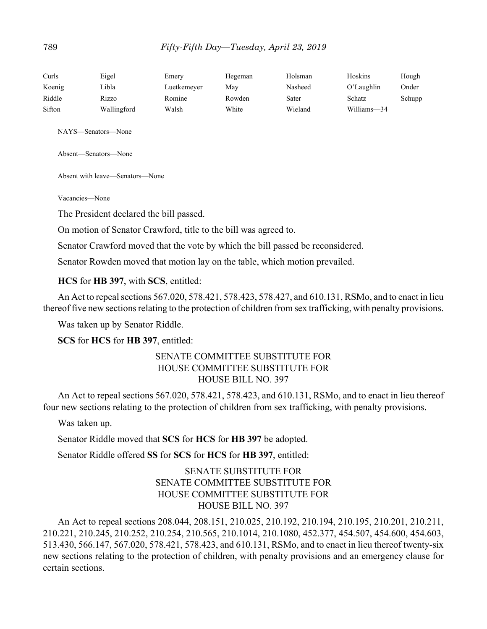| Curls  | Eigel       | Emery       | Hegeman | Holsman | Hoskins     | Hough  |
|--------|-------------|-------------|---------|---------|-------------|--------|
| Koenig | Libla       | Luetkemeyer | May     | Nasheed | O'Laughlin  | Onder  |
| Riddle | Rizzo       | Romine      | Rowden  | Sater   | Schatz      | Schupp |
| Sifton | Wallingford | Walsh       | White   | Wieland | Williams-34 |        |

NAYS—Senators—None

Absent—Senators—None

Absent with leave—Senators—None

Vacancies—None

The President declared the bill passed.

On motion of Senator Crawford, title to the bill was agreed to.

Senator Crawford moved that the vote by which the bill passed be reconsidered.

Senator Rowden moved that motion lay on the table, which motion prevailed.

#### **HCS** for **HB 397**, with **SCS**, entitled:

An Act to repeal sections 567.020, 578.421, 578.423, 578.427, and 610.131, RSMo, and to enact in lieu thereof five new sections relating to the protection of children from sex trafficking, with penalty provisions.

Was taken up by Senator Riddle.

**SCS** for **HCS** for **HB 397**, entitled:

## SENATE COMMITTEE SUBSTITUTE FOR HOUSE COMMITTEE SUBSTITUTE FOR HOUSE BILL NO. 397

An Act to repeal sections 567.020, 578.421, 578.423, and 610.131, RSMo, and to enact in lieu thereof four new sections relating to the protection of children from sex trafficking, with penalty provisions.

Was taken up.

Senator Riddle moved that **SCS** for **HCS** for **HB 397** be adopted.

Senator Riddle offered **SS** for **SCS** for **HCS** for **HB 397**, entitled:

# SENATE SUBSTITUTE FOR SENATE COMMITTEE SUBSTITUTE FOR HOUSE COMMITTEE SUBSTITUTE FOR HOUSE BILL NO. 397

An Act to repeal sections 208.044, 208.151, 210.025, 210.192, 210.194, 210.195, 210.201, 210.211, 210.221, 210.245, 210.252, 210.254, 210.565, 210.1014, 210.1080, 452.377, 454.507, 454.600, 454.603, 513.430, 566.147, 567.020, 578.421, 578.423, and 610.131, RSMo, and to enact in lieu thereof twenty-six new sections relating to the protection of children, with penalty provisions and an emergency clause for certain sections.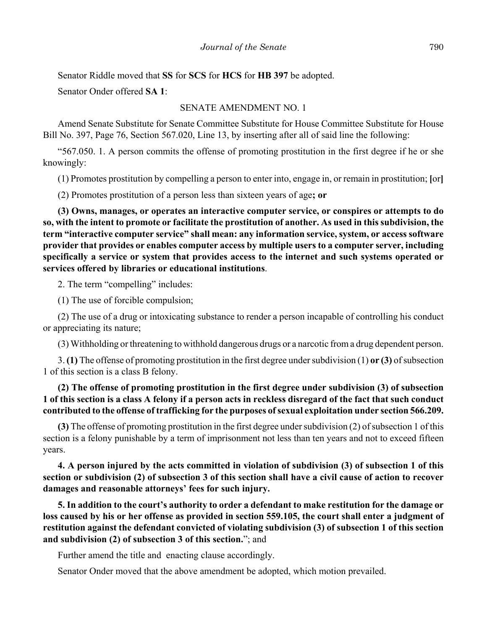Senator Riddle moved that **SS** for **SCS** for **HCS** for **HB 397** be adopted.

Senator Onder offered **SA 1**:

#### SENATE AMENDMENT NO. 1

Amend Senate Substitute for Senate Committee Substitute for House Committee Substitute for House Bill No. 397, Page 76, Section 567.020, Line 13, by inserting after all of said line the following:

"567.050. 1. A person commits the offense of promoting prostitution in the first degree if he or she knowingly:

(1) Promotes prostitution by compelling a person to enter into, engage in, or remain in prostitution; **[**or**]**

(2) Promotes prostitution of a person less than sixteen years of age**; or**

**(3) Owns, manages, or operates an interactive computer service, or conspires or attempts to do so, with the intent to promote or facilitate the prostitution of another. As used in this subdivision, the term "interactive computer service" shall mean: any information service, system, or access software provider that provides or enables computer access by multiple users to a computer server, including specifically a service or system that provides access to the internet and such systems operated or services offered by libraries or educational institutions**.

2. The term "compelling" includes:

(1) The use of forcible compulsion;

(2) The use of a drug or intoxicating substance to render a person incapable of controlling his conduct or appreciating its nature;

(3) Withholding or threatening to withhold dangerous drugs or a narcotic from a drug dependent person.

3. **(1)** The offense of promoting prostitution in the first degree under subdivision (1) **or (3)** of subsection 1 of this section is a class B felony.

**(2) The offense of promoting prostitution in the first degree under subdivision (3) of subsection 1 of this section is a class A felony if a person acts in reckless disregard of the fact that such conduct contributed to the offense of trafficking for the purposes of sexual exploitation under section 566.209.**

**(3)** The offense of promoting prostitution in the first degree under subdivision (2) of subsection 1 of this section is a felony punishable by a term of imprisonment not less than ten years and not to exceed fifteen years.

**4. A person injured by the acts committed in violation of subdivision (3) of subsection 1 of this section or subdivision (2) of subsection 3 of this section shall have a civil cause of action to recover damages and reasonable attorneys' fees for such injury.**

**5. In addition to the court's authority to order a defendant to make restitution for the damage or loss caused by his or her offense as provided in section 559.105, the court shall enter a judgment of restitution against the defendant convicted of violating subdivision (3) of subsection 1 of this section and subdivision (2) of subsection 3 of this section.**"; and

Further amend the title and enacting clause accordingly.

Senator Onder moved that the above amendment be adopted, which motion prevailed.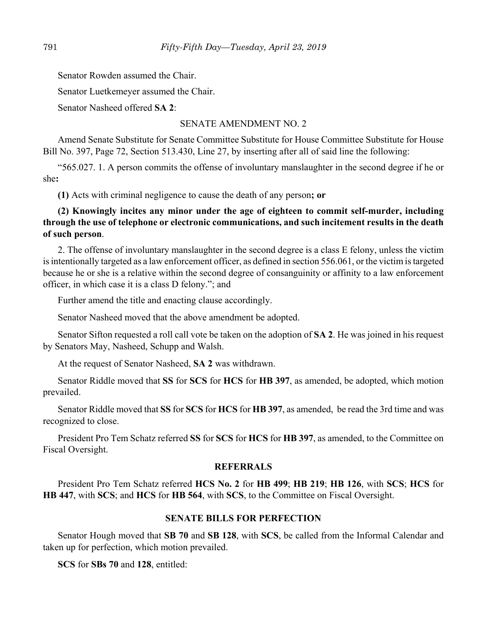Senator Rowden assumed the Chair.

Senator Luetkemeyer assumed the Chair.

Senator Nasheed offered **SA 2**:

#### SENATE AMENDMENT NO. 2

Amend Senate Substitute for Senate Committee Substitute for House Committee Substitute for House Bill No. 397, Page 72, Section 513.430, Line 27, by inserting after all of said line the following:

"565.027. 1. A person commits the offense of involuntary manslaughter in the second degree if he or she**:**

**(1)** Acts with criminal negligence to cause the death of any person**; or**

**(2) Knowingly incites any minor under the age of eighteen to commit self-murder, including through the use of telephone or electronic communications, and such incitement results in the death of such person**.

2. The offense of involuntary manslaughter in the second degree is a class E felony, unless the victim is intentionally targeted as a law enforcement officer, as defined in section 556.061, or the victim is targeted because he or she is a relative within the second degree of consanguinity or affinity to a law enforcement officer, in which case it is a class D felony."; and

Further amend the title and enacting clause accordingly.

Senator Nasheed moved that the above amendment be adopted.

Senator Sifton requested a roll call vote be taken on the adoption of **SA 2**. He was joined in his request by Senators May, Nasheed, Schupp and Walsh.

At the request of Senator Nasheed, **SA 2** was withdrawn.

Senator Riddle moved that **SS** for **SCS** for **HCS** for **HB 397**, as amended, be adopted, which motion prevailed.

Senator Riddle moved that **SS** for **SCS** for **HCS** for **HB 397**, as amended, be read the 3rd time and was recognized to close.

President Pro Tem Schatz referred **SS** for **SCS** for **HCS** for **HB 397**, as amended, to the Committee on Fiscal Oversight.

#### **REFERRALS**

President Pro Tem Schatz referred **HCS No. 2** for **HB 499**; **HB 219**; **HB 126**, with **SCS**; **HCS** for **HB 447**, with **SCS**; and **HCS** for **HB 564**, with **SCS**, to the Committee on Fiscal Oversight.

## **SENATE BILLS FOR PERFECTION**

Senator Hough moved that **SB 70** and **SB 128**, with **SCS**, be called from the Informal Calendar and taken up for perfection, which motion prevailed.

**SCS** for **SBs 70** and **128**, entitled: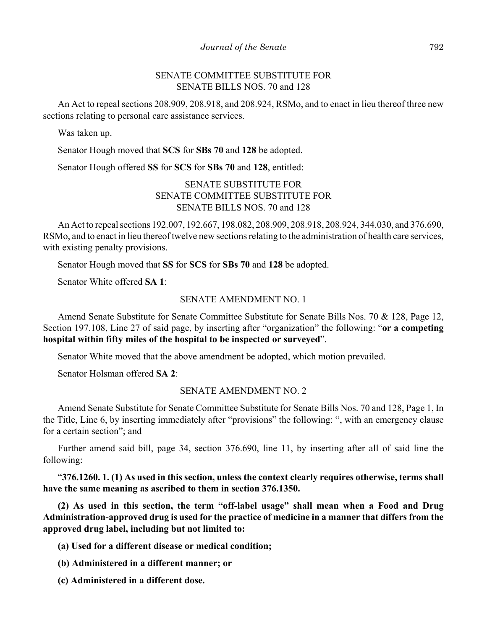## SENATE COMMITTEE SUBSTITUTE FOR SENATE BILLS NOS. 70 and 128

An Act to repeal sections 208.909, 208.918, and 208.924, RSMo, and to enact in lieu thereof three new sections relating to personal care assistance services.

Was taken up.

Senator Hough moved that **SCS** for **SBs 70** and **128** be adopted.

Senator Hough offered **SS** for **SCS** for **SBs 70** and **128**, entitled:

## SENATE SUBSTITUTE FOR SENATE COMMITTEE SUBSTITUTE FOR SENATE BILLS NOS. 70 and 128

An Act to repeal sections 192.007, 192.667, 198.082, 208.909, 208.918, 208.924, 344.030, and 376.690, RSMo, and to enact in lieu thereof twelve new sections relating to the administration of health care services, with existing penalty provisions.

Senator Hough moved that **SS** for **SCS** for **SBs 70** and **128** be adopted.

Senator White offered **SA 1**:

#### SENATE AMENDMENT NO. 1

Amend Senate Substitute for Senate Committee Substitute for Senate Bills Nos. 70 & 128, Page 12, Section 197.108, Line 27 of said page, by inserting after "organization" the following: "**or a competing hospital within fifty miles of the hospital to be inspected or surveyed**".

Senator White moved that the above amendment be adopted, which motion prevailed.

Senator Holsman offered **SA 2**:

#### SENATE AMENDMENT NO. 2

Amend Senate Substitute for Senate Committee Substitute for Senate Bills Nos. 70 and 128, Page 1, In the Title, Line 6, by inserting immediately after "provisions" the following: ", with an emergency clause for a certain section"; and

Further amend said bill, page 34, section 376.690, line 11, by inserting after all of said line the following:

"**376.1260. 1. (1) As used in this section, unless the context clearly requires otherwise, terms shall have the same meaning as ascribed to them in section 376.1350.**

**(2) As used in this section, the term "off-label usage" shall mean when a Food and Drug Administration-approved drug is used for the practice of medicine in a manner that differs from the approved drug label, including but not limited to:**

**(a) Used for a different disease or medical condition;**

**(b) Administered in a different manner; or**

**(c) Administered in a different dose.**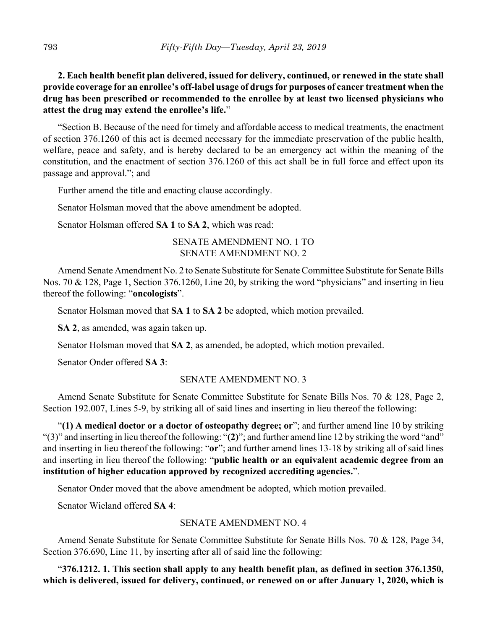**2. Each health benefit plan delivered, issued for delivery, continued, or renewed in the state shall provide coverage for an enrollee's off-label usage of drugs for purposes of cancer treatment when the drug has been prescribed or recommended to the enrollee by at least two licensed physicians who attest the drug may extend the enrollee's life.**"

"Section B. Because of the need for timely and affordable access to medical treatments, the enactment of section 376.1260 of this act is deemed necessary for the immediate preservation of the public health, welfare, peace and safety, and is hereby declared to be an emergency act within the meaning of the constitution, and the enactment of section 376.1260 of this act shall be in full force and effect upon its passage and approval."; and

Further amend the title and enacting clause accordingly.

Senator Holsman moved that the above amendment be adopted.

Senator Holsman offered **SA 1** to **SA 2**, which was read:

SENATE AMENDMENT NO. 1 TO SENATE AMENDMENT NO. 2

Amend Senate Amendment No. 2 to Senate Substitute for Senate Committee Substitute for Senate Bills Nos. 70 & 128, Page 1, Section 376.1260, Line 20, by striking the word "physicians" and inserting in lieu thereof the following: "**oncologists**".

Senator Holsman moved that **SA 1** to **SA 2** be adopted, which motion prevailed.

**SA 2**, as amended, was again taken up.

Senator Holsman moved that **SA 2**, as amended, be adopted, which motion prevailed.

Senator Onder offered **SA 3**:

# SENATE AMENDMENT NO. 3

Amend Senate Substitute for Senate Committee Substitute for Senate Bills Nos. 70 & 128, Page 2, Section 192.007, Lines 5-9, by striking all of said lines and inserting in lieu thereof the following:

"**(1) A medical doctor or a doctor of osteopathy degree; or**"; and further amend line 10 by striking "(3)" and inserting in lieu thereof the following: "**(2)**"; and further amend line 12 by striking the word "and" and inserting in lieu thereof the following: "**or**"; and further amend lines 13-18 by striking all of said lines and inserting in lieu thereof the following: "**public health or an equivalent academic degree from an institution of higher education approved by recognized accrediting agencies.**".

Senator Onder moved that the above amendment be adopted, which motion prevailed.

Senator Wieland offered **SA 4**:

## SENATE AMENDMENT NO. 4

Amend Senate Substitute for Senate Committee Substitute for Senate Bills Nos. 70 & 128, Page 34, Section 376.690, Line 11, by inserting after all of said line the following:

"**376.1212. 1. This section shall apply to any health benefit plan, as defined in section 376.1350, which is delivered, issued for delivery, continued, or renewed on or after January 1, 2020, which is**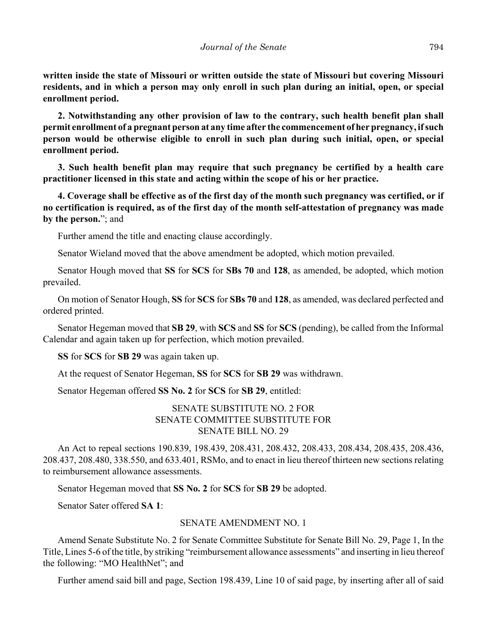**written inside the state of Missouri or written outside the state of Missouri but covering Missouri residents, and in which a person may only enroll in such plan during an initial, open, or special enrollment period.**

**2. Notwithstanding any other provision of law to the contrary, such health benefit plan shall permit enrollment of a pregnant person at any time after the commencement of her pregnancy, if such person would be otherwise eligible to enroll in such plan during such initial, open, or special enrollment period.**

**3. Such health benefit plan may require that such pregnancy be certified by a health care practitioner licensed in this state and acting within the scope of his or her practice.**

**4. Coverage shall be effective as of the first day of the month such pregnancy was certified, or if no certification is required, as of the first day of the month self-attestation of pregnancy was made by the person.**"; and

Further amend the title and enacting clause accordingly.

Senator Wieland moved that the above amendment be adopted, which motion prevailed.

Senator Hough moved that **SS** for **SCS** for **SBs 70** and **128**, as amended, be adopted, which motion prevailed.

On motion of Senator Hough, **SS** for **SCS** for **SBs 70** and **128**, as amended, was declared perfected and ordered printed.

Senator Hegeman moved that **SB 29**, with **SCS** and **SS** for **SCS** (pending), be called from the Informal Calendar and again taken up for perfection, which motion prevailed.

**SS** for **SCS** for **SB 29** was again taken up.

At the request of Senator Hegeman, **SS** for **SCS** for **SB 29** was withdrawn.

Senator Hegeman offered **SS No. 2** for **SCS** for **SB 29**, entitled:

SENATE SUBSTITUTE NO. 2 FOR SENATE COMMITTEE SUBSTITUTE FOR SENATE BILL NO. 29

An Act to repeal sections 190.839, 198.439, 208.431, 208.432, 208.433, 208.434, 208.435, 208.436, 208.437, 208.480, 338.550, and 633.401, RSMo, and to enact in lieu thereof thirteen new sections relating to reimbursement allowance assessments.

Senator Hegeman moved that **SS No. 2** for **SCS** for **SB 29** be adopted.

Senator Sater offered **SA 1**:

#### SENATE AMENDMENT NO. 1

Amend Senate Substitute No. 2 for Senate Committee Substitute for Senate Bill No. 29, Page 1, In the Title, Lines 5-6 of the title, by striking "reimbursement allowance assessments" and inserting in lieu thereof the following: "MO HealthNet"; and

Further amend said bill and page, Section 198.439, Line 10 of said page, by inserting after all of said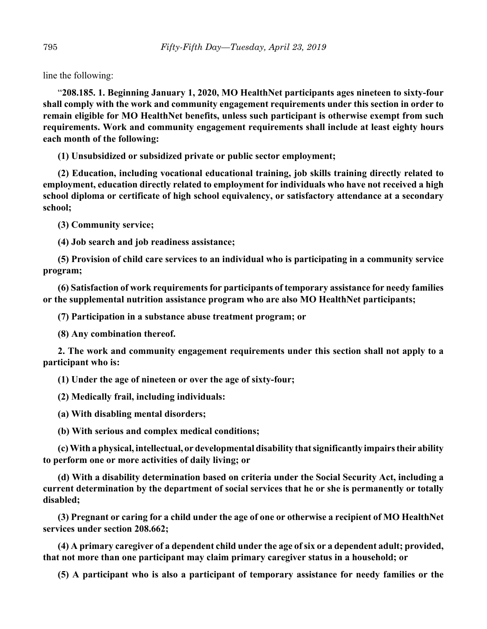line the following:

"**208.185. 1. Beginning January 1, 2020, MO HealthNet participants ages nineteen to sixty-four shall comply with the work and community engagement requirements under this section in order to remain eligible for MO HealthNet benefits, unless such participant is otherwise exempt from such requirements. Work and community engagement requirements shall include at least eighty hours each month of the following:**

**(1) Unsubsidized or subsidized private or public sector employment;**

**(2) Education, including vocational educational training, job skills training directly related to employment, education directly related to employment for individuals who have not received a high school diploma or certificate of high school equivalency, or satisfactory attendance at a secondary school;**

**(3) Community service;**

**(4) Job search and job readiness assistance;**

**(5) Provision of child care services to an individual who is participating in a community service program;**

**(6) Satisfaction of work requirements for participants of temporary assistance for needy families or the supplemental nutrition assistance program who are also MO HealthNet participants;**

**(7) Participation in a substance abuse treatment program; or**

**(8) Any combination thereof.**

**2. The work and community engagement requirements under this section shall not apply to a participant who is:**

**(1) Under the age of nineteen or over the age of sixty-four;**

**(2) Medically frail, including individuals:**

**(a) With disabling mental disorders;**

**(b) With serious and complex medical conditions;**

**(c) With a physical, intellectual, or developmental disability that significantly impairs their ability to perform one or more activities of daily living; or**

**(d) With a disability determination based on criteria under the Social Security Act, including a current determination by the department of social services that he or she is permanently or totally disabled;**

**(3) Pregnant or caring for a child under the age of one or otherwise a recipient of MO HealthNet services under section 208.662;**

**(4) A primary caregiver of a dependent child under the age of six or a dependent adult; provided, that not more than one participant may claim primary caregiver status in a household; or**

**(5) A participant who is also a participant of temporary assistance for needy families or the**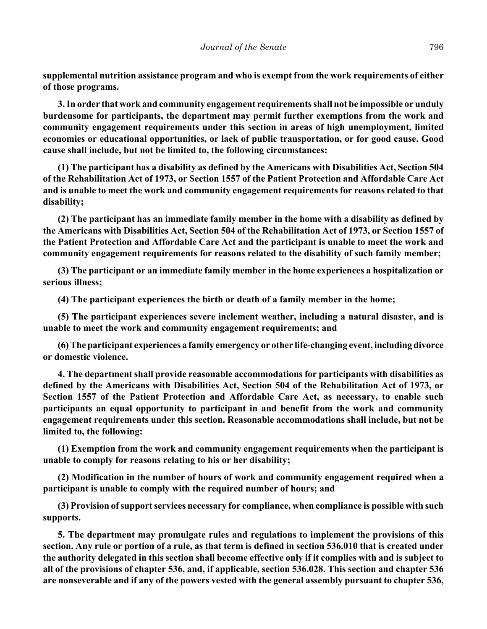**supplemental nutrition assistance program and who is exempt from the work requirements of either of those programs.**

**3. In order that work and community engagement requirements shall not be impossible or unduly burdensome for participants, the department may permit further exemptions from the work and community engagement requirements under this section in areas of high unemployment, limited economies or educational opportunities, or lack of public transportation, or for good cause. Good cause shall include, but not be limited to, the following circumstances:**

**(1) The participant has a disability as defined by the Americans with Disabilities Act, Section 504 of the Rehabilitation Act of 1973, or Section 1557 of the Patient Protection and Affordable Care Act and is unable to meet the work and community engagement requirements for reasons related to that disability;**

**(2) The participant has an immediate family member in the home with a disability as defined by the Americans with Disabilities Act, Section 504 of the Rehabilitation Act of 1973, or Section 1557 of the Patient Protection and Affordable Care Act and the participant is unable to meet the work and community engagement requirements for reasons related to the disability of such family member;**

**(3) The participant or an immediate family member in the home experiences a hospitalization or serious illness;**

**(4) The participant experiences the birth or death of a family member in the home;**

**(5) The participant experiences severe inclement weather, including a natural disaster, and is unable to meet the work and community engagement requirements; and**

**(6) The participant experiences a family emergency or other life-changing event, including divorce or domestic violence.**

**4. The department shall provide reasonable accommodations for participants with disabilities as defined by the Americans with Disabilities Act, Section 504 of the Rehabilitation Act of 1973, or Section 1557 of the Patient Protection and Affordable Care Act, as necessary, to enable such participants an equal opportunity to participant in and benefit from the work and community engagement requirements under this section. Reasonable accommodations shall include, but not be limited to, the following:**

**(1) Exemption from the work and community engagement requirements when the participant is unable to comply for reasons relating to his or her disability;**

**(2) Modification in the number of hours of work and community engagement required when a participant is unable to comply with the required number of hours; and**

**(3) Provision of support services necessary for compliance, when compliance is possible with such supports.**

**5. The department may promulgate rules and regulations to implement the provisions of this section. Any rule or portion of a rule, as that term is defined in section 536.010 that is created under the authority delegated in this section shall become effective only if it complies with and is subject to all of the provisions of chapter 536, and, if applicable, section 536.028. This section and chapter 536 are nonseverable and if any of the powers vested with the general assembly pursuant to chapter 536,**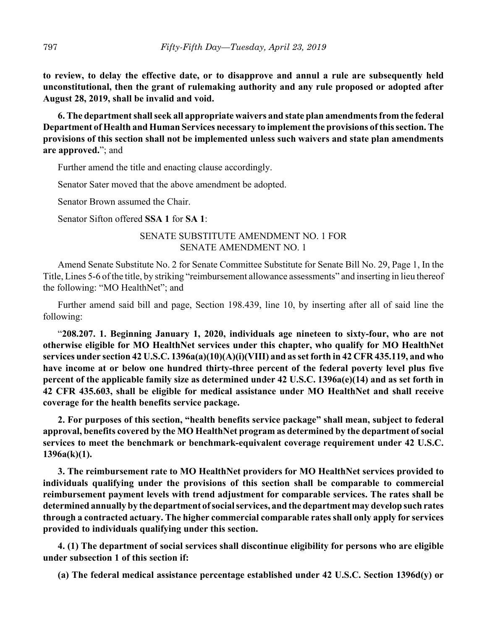**to review, to delay the effective date, or to disapprove and annul a rule are subsequently held unconstitutional, then the grant of rulemaking authority and any rule proposed or adopted after August 28, 2019, shall be invalid and void.**

**6. The department shall seek all appropriate waivers and state plan amendments from the federal Department of Health and Human Services necessary to implement the provisions of this section. The provisions of this section shall not be implemented unless such waivers and state plan amendments are approved.**"; and

Further amend the title and enacting clause accordingly.

Senator Sater moved that the above amendment be adopted.

Senator Brown assumed the Chair.

Senator Sifton offered **SSA 1** for **SA 1**:

## SENATE SUBSTITUTE AMENDMENT NO. 1 FOR SENATE AMENDMENT NO. 1

Amend Senate Substitute No. 2 for Senate Committee Substitute for Senate Bill No. 29, Page 1, In the Title, Lines 5-6 of the title, by striking "reimbursement allowance assessments" and inserting in lieu thereof the following: "MO HealthNet"; and

Further amend said bill and page, Section 198.439, line 10, by inserting after all of said line the following:

"**208.207. 1. Beginning January 1, 2020, individuals age nineteen to sixty-four, who are not otherwise eligible for MO HealthNet services under this chapter, who qualify for MO HealthNet services under section 42 U.S.C. 1396a(a)(10)(A)(i)(VIII) and as set forth in 42 CFR 435.119, and who have income at or below one hundred thirty-three percent of the federal poverty level plus five percent of the applicable family size as determined under 42 U.S.C. 1396a(e)(14) and as set forth in 42 CFR 435.603, shall be eligible for medical assistance under MO HealthNet and shall receive coverage for the health benefits service package.**

**2. For purposes of this section, "health benefits service package" shall mean, subject to federal approval, benefits covered by the MO HealthNet program as determined by the department of social services to meet the benchmark or benchmark-equivalent coverage requirement under 42 U.S.C. 1396a(k)(1).**

**3. The reimbursement rate to MO HealthNet providers for MO HealthNet services provided to individuals qualifying under the provisions of this section shall be comparable to commercial reimbursement payment levels with trend adjustment for comparable services. The rates shall be determined annually by the department of social services, and the department may develop such rates through a contracted actuary. The higher commercial comparable rates shall only apply for services provided to individuals qualifying under this section.**

**4. (1) The department of social services shall discontinue eligibility for persons who are eligible under subsection 1 of this section if:**

**(a) The federal medical assistance percentage established under 42 U.S.C. Section 1396d(y) or**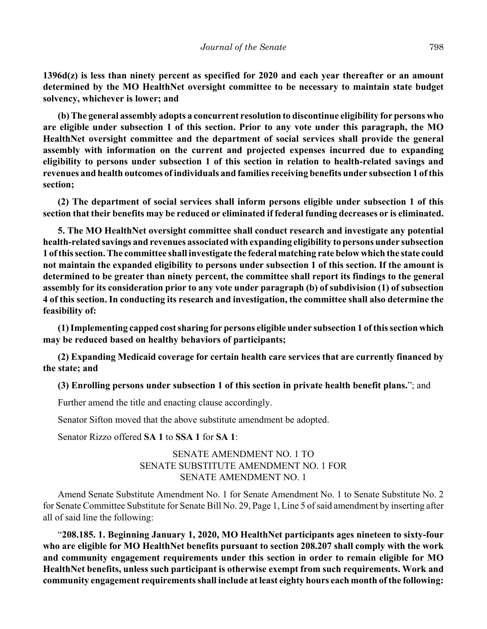**1396d(z) is less than ninety percent as specified for 2020 and each year thereafter or an amount determined by the MO HealthNet oversight committee to be necessary to maintain state budget solvency, whichever is lower; and**

**(b) The general assembly adopts a concurrent resolution to discontinue eligibility for persons who are eligible under subsection 1 of this section. Prior to any vote under this paragraph, the MO HealthNet oversight committee and the department of social services shall provide the general assembly with information on the current and projected expenses incurred due to expanding eligibility to persons under subsection 1 of this section in relation to health-related savings and revenues and health outcomes of individuals and families receiving benefits under subsection 1 of this section;**

**(2) The department of social services shall inform persons eligible under subsection 1 of this section that their benefits may be reduced or eliminated if federal funding decreases or is eliminated.**

**5. The MO HealthNet oversight committee shall conduct research and investigate any potential health-related savings and revenues associated with expanding eligibility to persons under subsection 1 of this section. The committee shall investigate the federal matching rate below which the state could not maintain the expanded eligibility to persons under subsection 1 of this section. If the amount is determined to be greater than ninety percent, the committee shall report its findings to the general assembly for its consideration prior to any vote under paragraph (b) of subdivision (1) of subsection 4 of this section. In conducting its research and investigation, the committee shall also determine the feasibility of:**

**(1) Implementing capped cost sharing for persons eligible under subsection 1 of this section which may be reduced based on healthy behaviors of participants;**

**(2) Expanding Medicaid coverage for certain health care services that are currently financed by the state; and**

**(3) Enrolling persons under subsection 1 of this section in private health benefit plans.**"; and

Further amend the title and enacting clause accordingly.

Senator Sifton moved that the above substitute amendment be adopted.

Senator Rizzo offered **SA 1** to **SSA 1** for **SA 1**:

## SENATE AMENDMENT NO. 1 TO SENATE SUBSTITUTE AMENDMENT NO. 1 FOR SENATE AMENDMENT NO. 1

Amend Senate Substitute Amendment No. 1 for Senate Amendment No. 1 to Senate Substitute No. 2 for Senate Committee Substitute for Senate Bill No. 29, Page 1, Line 5 of said amendment by inserting after all of said line the following:

"**208.185. 1. Beginning January 1, 2020, MO HealthNet participants ages nineteen to sixty-four who are eligible for MO HealthNet benefits pursuant to section 208.207 shall comply with the work and community engagement requirements under this section in order to remain eligible for MO HealthNet benefits, unless such participant is otherwise exempt from such requirements. Work and community engagement requirements shall include at least eighty hours each month of the following:**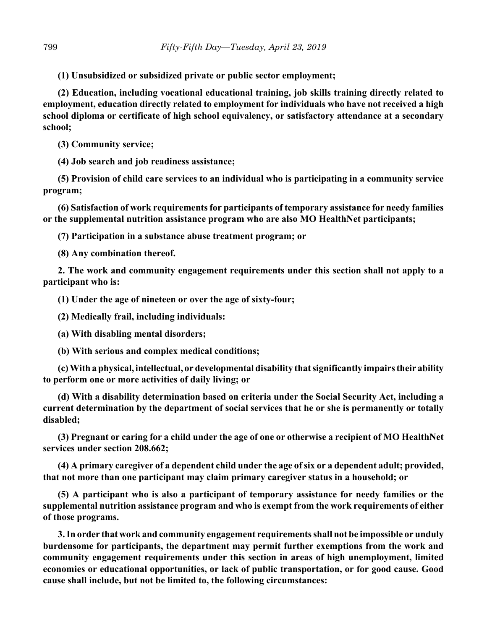**(1) Unsubsidized or subsidized private or public sector employment;**

**(2) Education, including vocational educational training, job skills training directly related to employment, education directly related to employment for individuals who have not received a high school diploma or certificate of high school equivalency, or satisfactory attendance at a secondary school;**

**(3) Community service;**

**(4) Job search and job readiness assistance;**

**(5) Provision of child care services to an individual who is participating in a community service program;**

**(6) Satisfaction of work requirements for participants of temporary assistance for needy families or the supplemental nutrition assistance program who are also MO HealthNet participants;**

**(7) Participation in a substance abuse treatment program; or**

**(8) Any combination thereof.**

**2. The work and community engagement requirements under this section shall not apply to a participant who is:**

**(1) Under the age of nineteen or over the age of sixty-four;**

**(2) Medically frail, including individuals:**

**(a) With disabling mental disorders;**

**(b) With serious and complex medical conditions;**

**(c) With a physical, intellectual, or developmental disability that significantly impairs their ability to perform one or more activities of daily living; or**

**(d) With a disability determination based on criteria under the Social Security Act, including a current determination by the department of social services that he or she is permanently or totally disabled;**

**(3) Pregnant or caring for a child under the age of one or otherwise a recipient of MO HealthNet services under section 208.662;**

**(4) A primary caregiver of a dependent child under the age of six or a dependent adult; provided, that not more than one participant may claim primary caregiver status in a household; or**

**(5) A participant who is also a participant of temporary assistance for needy families or the supplemental nutrition assistance program and who is exempt from the work requirements of either of those programs.**

**3. In order that work and community engagement requirements shall not be impossible or unduly burdensome for participants, the department may permit further exemptions from the work and community engagement requirements under this section in areas of high unemployment, limited economies or educational opportunities, or lack of public transportation, or for good cause. Good cause shall include, but not be limited to, the following circumstances:**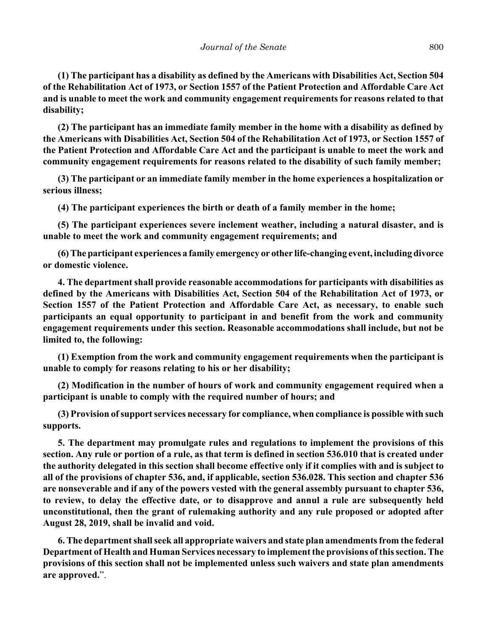**(1) The participant has a disability as defined by the Americans with Disabilities Act, Section 504 of the Rehabilitation Act of 1973, or Section 1557 of the Patient Protection and Affordable Care Act and is unable to meet the work and community engagement requirements for reasons related to that disability;**

**(2) The participant has an immediate family member in the home with a disability as defined by the Americans with Disabilities Act, Section 504 of the Rehabilitation Act of 1973, or Section 1557 of the Patient Protection and Affordable Care Act and the participant is unable to meet the work and community engagement requirements for reasons related to the disability of such family member;**

**(3) The participant or an immediate family member in the home experiences a hospitalization or serious illness;**

**(4) The participant experiences the birth or death of a family member in the home;**

**(5) The participant experiences severe inclement weather, including a natural disaster, and is unable to meet the work and community engagement requirements; and**

**(6) The participant experiences a family emergency or other life-changing event, including divorce or domestic violence.**

**4. The department shall provide reasonable accommodations for participants with disabilities as defined by the Americans with Disabilities Act, Section 504 of the Rehabilitation Act of 1973, or Section 1557 of the Patient Protection and Affordable Care Act, as necessary, to enable such participants an equal opportunity to participant in and benefit from the work and community engagement requirements under this section. Reasonable accommodations shall include, but not be limited to, the following:**

**(1) Exemption from the work and community engagement requirements when the participant is unable to comply for reasons relating to his or her disability;**

**(2) Modification in the number of hours of work and community engagement required when a participant is unable to comply with the required number of hours; and**

**(3) Provision of support services necessary for compliance, when compliance is possible with such supports.**

**5. The department may promulgate rules and regulations to implement the provisions of this section. Any rule or portion of a rule, as that term is defined in section 536.010 that is created under the authority delegated in this section shall become effective only if it complies with and is subject to all of the provisions of chapter 536, and, if applicable, section 536.028. This section and chapter 536 are nonseverable and if any of the powers vested with the general assembly pursuant to chapter 536, to review, to delay the effective date, or to disapprove and annul a rule are subsequently held unconstitutional, then the grant of rulemaking authority and any rule proposed or adopted after August 28, 2019, shall be invalid and void.**

**6. The department shall seek all appropriate waivers and state plan amendments from the federal Department of Health and Human Services necessary to implement the provisions of this section. The provisions of this section shall not be implemented unless such waivers and state plan amendments are approved.**".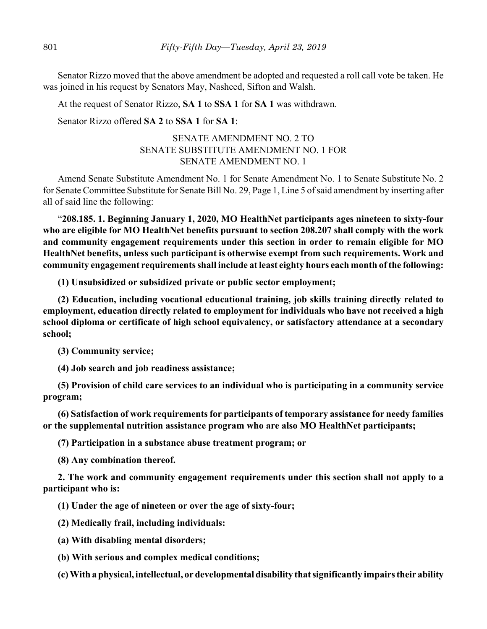Senator Rizzo moved that the above amendment be adopted and requested a roll call vote be taken. He was joined in his request by Senators May, Nasheed, Sifton and Walsh.

At the request of Senator Rizzo, **SA 1** to **SSA 1** for **SA 1** was withdrawn.

Senator Rizzo offered **SA 2** to **SSA 1** for **SA 1**:

## SENATE AMENDMENT NO. 2 TO SENATE SUBSTITUTE AMENDMENT NO. 1 FOR SENATE AMENDMENT NO. 1

Amend Senate Substitute Amendment No. 1 for Senate Amendment No. 1 to Senate Substitute No. 2 for Senate Committee Substitute for Senate Bill No. 29, Page 1, Line 5 of said amendment by inserting after all of said line the following:

"**208.185. 1. Beginning January 1, 2020, MO HealthNet participants ages nineteen to sixty-four who are eligible for MO HealthNet benefits pursuant to section 208.207 shall comply with the work and community engagement requirements under this section in order to remain eligible for MO HealthNet benefits, unless such participant is otherwise exempt from such requirements. Work and community engagement requirements shall include at least eighty hours each month of the following:**

**(1) Unsubsidized or subsidized private or public sector employment;**

**(2) Education, including vocational educational training, job skills training directly related to employment, education directly related to employment for individuals who have not received a high school diploma or certificate of high school equivalency, or satisfactory attendance at a secondary school;**

**(3) Community service;**

**(4) Job search and job readiness assistance;**

**(5) Provision of child care services to an individual who is participating in a community service program;**

**(6) Satisfaction of work requirements for participants of temporary assistance for needy families or the supplemental nutrition assistance program who are also MO HealthNet participants;**

**(7) Participation in a substance abuse treatment program; or**

**(8) Any combination thereof.**

**2. The work and community engagement requirements under this section shall not apply to a participant who is:**

**(1) Under the age of nineteen or over the age of sixty-four;**

**(2) Medically frail, including individuals:**

**(a) With disabling mental disorders;**

**(b) With serious and complex medical conditions;**

**(c) With a physical, intellectual, or developmental disability that significantly impairs their ability**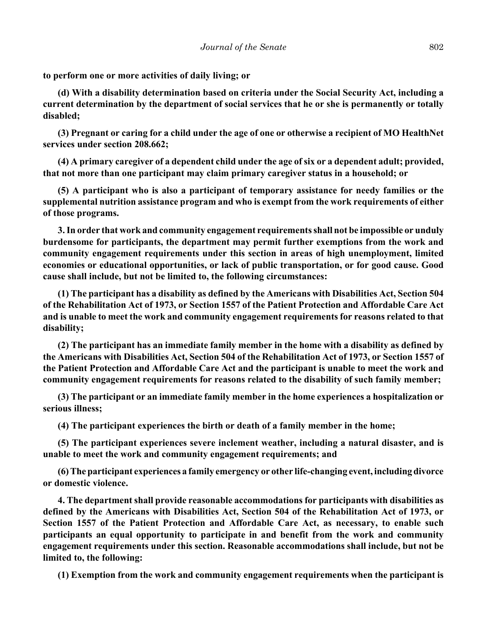**to perform one or more activities of daily living; or**

**(d) With a disability determination based on criteria under the Social Security Act, including a current determination by the department of social services that he or she is permanently or totally disabled;**

**(3) Pregnant or caring for a child under the age of one or otherwise a recipient of MO HealthNet services under section 208.662;**

**(4) A primary caregiver of a dependent child under the age of six or a dependent adult; provided, that not more than one participant may claim primary caregiver status in a household; or**

**(5) A participant who is also a participant of temporary assistance for needy families or the supplemental nutrition assistance program and who is exempt from the work requirements of either of those programs.**

**3. In order that work and community engagement requirements shall not be impossible or unduly burdensome for participants, the department may permit further exemptions from the work and community engagement requirements under this section in areas of high unemployment, limited economies or educational opportunities, or lack of public transportation, or for good cause. Good cause shall include, but not be limited to, the following circumstances:**

**(1) The participant has a disability as defined by the Americans with Disabilities Act, Section 504 of the Rehabilitation Act of 1973, or Section 1557 of the Patient Protection and Affordable Care Act and is unable to meet the work and community engagement requirements for reasons related to that disability;**

**(2) The participant has an immediate family member in the home with a disability as defined by the Americans with Disabilities Act, Section 504 of the Rehabilitation Act of 1973, or Section 1557 of the Patient Protection and Affordable Care Act and the participant is unable to meet the work and community engagement requirements for reasons related to the disability of such family member;**

**(3) The participant or an immediate family member in the home experiences a hospitalization or serious illness;**

**(4) The participant experiences the birth or death of a family member in the home;**

**(5) The participant experiences severe inclement weather, including a natural disaster, and is unable to meet the work and community engagement requirements; and**

**(6) The participant experiences a family emergency or other life-changing event, including divorce or domestic violence.**

**4. The department shall provide reasonable accommodations for participants with disabilities as defined by the Americans with Disabilities Act, Section 504 of the Rehabilitation Act of 1973, or Section 1557 of the Patient Protection and Affordable Care Act, as necessary, to enable such participants an equal opportunity to participate in and benefit from the work and community engagement requirements under this section. Reasonable accommodations shall include, but not be limited to, the following:**

**(1) Exemption from the work and community engagement requirements when the participant is**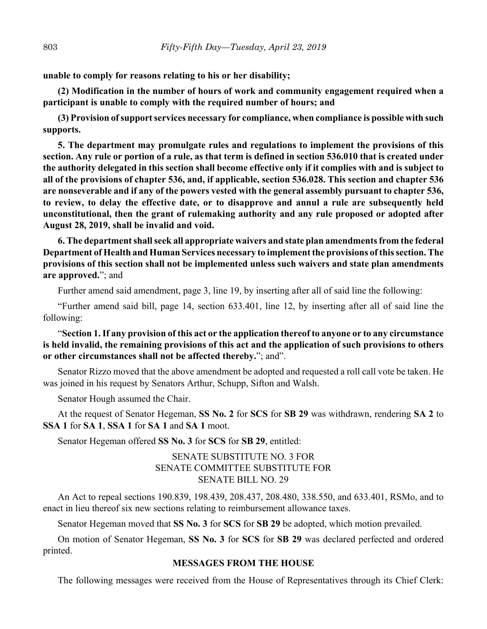**unable to comply for reasons relating to his or her disability;**

**(2) Modification in the number of hours of work and community engagement required when a participant is unable to comply with the required number of hours; and**

**(3) Provision of support services necessary for compliance, when compliance is possible with such supports.**

**5. The department may promulgate rules and regulations to implement the provisions of this section. Any rule or portion of a rule, as that term is defined in section 536.010 that is created under the authority delegated in this section shall become effective only if it complies with and is subject to all of the provisions of chapter 536, and, if applicable, section 536.028. This section and chapter 536 are nonseverable and if any of the powers vested with the general assembly pursuant to chapter 536, to review, to delay the effective date, or to disapprove and annul a rule are subsequently held unconstitutional, then the grant of rulemaking authority and any rule proposed or adopted after August 28, 2019, shall be invalid and void.**

**6. The department shall seek all appropriate waivers and state plan amendments from the federal Department of Health and Human Services necessary to implement the provisions of this section. The provisions of this section shall not be implemented unless such waivers and state plan amendments are approved.**"; and

Further amend said amendment, page 3, line 19, by inserting after all of said line the following:

"Further amend said bill, page 14, section 633.401, line 12, by inserting after all of said line the following:

"**Section 1. If any provision of this act or the application thereof to anyone or to any circumstance is held invalid, the remaining provisions of this act and the application of such provisions to others or other circumstances shall not be affected thereby.**"; and".

Senator Rizzo moved that the above amendment be adopted and requested a roll call vote be taken. He was joined in his request by Senators Arthur, Schupp, Sifton and Walsh.

Senator Hough assumed the Chair.

At the request of Senator Hegeman, **SS No. 2** for **SCS** for **SB 29** was withdrawn, rendering **SA 2** to **SSA 1** for **SA 1**, **SSA 1** for **SA 1** and **SA 1** moot.

Senator Hegeman offered **SS No. 3** for **SCS** for **SB 29**, entitled:

## SENATE SUBSTITUTE NO. 3 FOR SENATE COMMITTEE SUBSTITUTE FOR SENATE BILL NO. 29

An Act to repeal sections 190.839, 198.439, 208.437, 208.480, 338.550, and 633.401, RSMo, and to enact in lieu thereof six new sections relating to reimbursement allowance taxes.

Senator Hegeman moved that **SS No. 3** for **SCS** for **SB 29** be adopted, which motion prevailed.

On motion of Senator Hegeman, **SS No. 3** for **SCS** for **SB 29** was declared perfected and ordered printed.

## **MESSAGES FROM THE HOUSE**

The following messages were received from the House of Representatives through its Chief Clerk: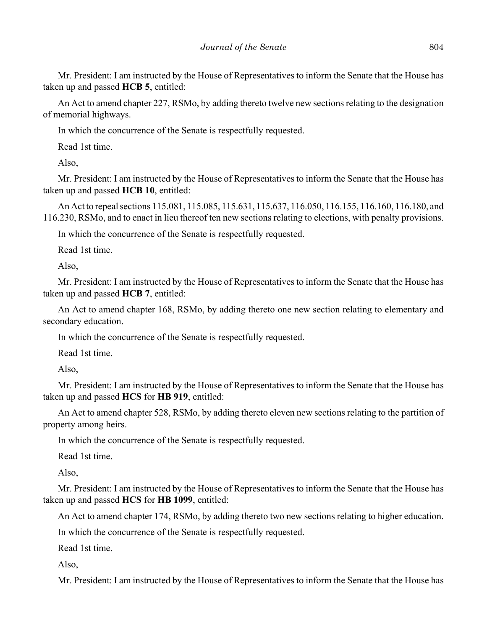Mr. President: I am instructed by the House of Representatives to inform the Senate that the House has taken up and passed **HCB 5**, entitled:

An Act to amend chapter 227, RSMo, by adding thereto twelve new sections relating to the designation of memorial highways.

In which the concurrence of the Senate is respectfully requested.

Read 1st time.

Also,

Mr. President: I am instructed by the House of Representatives to inform the Senate that the House has taken up and passed **HCB 10**, entitled:

An Act to repeal sections 115.081, 115.085, 115.631, 115.637, 116.050, 116.155, 116.160, 116.180, and 116.230, RSMo, and to enact in lieu thereof ten new sections relating to elections, with penalty provisions.

In which the concurrence of the Senate is respectfully requested.

Read 1st time.

Also,

Mr. President: I am instructed by the House of Representatives to inform the Senate that the House has taken up and passed **HCB 7**, entitled:

An Act to amend chapter 168, RSMo, by adding thereto one new section relating to elementary and secondary education.

In which the concurrence of the Senate is respectfully requested.

Read 1st time.

Also,

Mr. President: I am instructed by the House of Representatives to inform the Senate that the House has taken up and passed **HCS** for **HB 919**, entitled:

An Act to amend chapter 528, RSMo, by adding thereto eleven new sections relating to the partition of property among heirs.

In which the concurrence of the Senate is respectfully requested.

Read 1st time.

Also,

Mr. President: I am instructed by the House of Representatives to inform the Senate that the House has taken up and passed **HCS** for **HB 1099**, entitled:

An Act to amend chapter 174, RSMo, by adding thereto two new sections relating to higher education.

In which the concurrence of the Senate is respectfully requested.

Read 1st time.

Also,

Mr. President: I am instructed by the House of Representatives to inform the Senate that the House has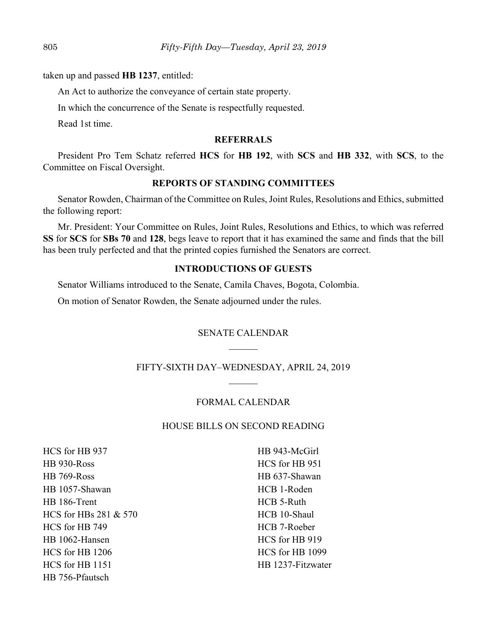taken up and passed **HB 1237**, entitled:

An Act to authorize the conveyance of certain state property.

In which the concurrence of the Senate is respectfully requested.

Read 1st time.

## **REFERRALS**

President Pro Tem Schatz referred **HCS** for **HB 192**, with **SCS** and **HB 332**, with **SCS**, to the Committee on Fiscal Oversight.

## **REPORTS OF STANDING COMMITTEES**

Senator Rowden, Chairman of the Committee on Rules, Joint Rules, Resolutions and Ethics, submitted the following report:

Mr. President: Your Committee on Rules, Joint Rules, Resolutions and Ethics, to which was referred **SS** for **SCS** for **SBs 70** and **128**, begs leave to report that it has examined the same and finds that the bill has been truly perfected and that the printed copies furnished the Senators are correct.

## **INTRODUCTIONS OF GUESTS**

Senator Williams introduced to the Senate, Camila Chaves, Bogota, Colombia. On motion of Senator Rowden, the Senate adjourned under the rules.

#### SENATE CALENDAR

#### FIFTY-SIXTH DAY–WEDNESDAY, APRIL 24, 2019

#### FORMAL CALENDAR

#### HOUSE BILLS ON SECOND READING

HCS for HB 937 HB 930-Ross HB 769-Ross HB 1057-Shawan HB 186-Trent HCS for HBs 281 & 570 HCS for HB 749 HB 1062-Hansen HCS for HB 1206 HCS for HB 1151 HB 756-Pfautsch

HB 943-McGirl HCS for HB 951 HB 637-Shawan HCB 1-Roden HCB 5-Ruth HCB 10-Shaul HCB 7-Roeber HCS for HB 919 HCS for HB 1099 HB 1237-Fitzwater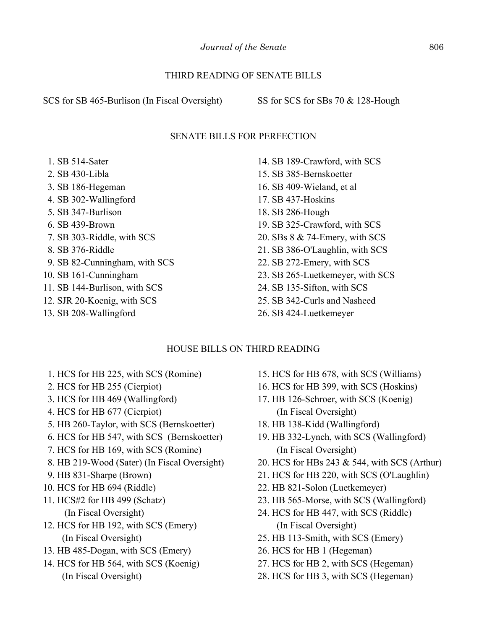## THIRD READING OF SENATE BILLS

SCS for SB 465-Burlison (In Fiscal Oversight) SS for SCS for SBs 70 & 128-Hough

## SENATE BILLS FOR PERFECTION

 1. SB 514-Sater 2. SB 430-Libla 3. SB 186-Hegeman 4. SB 302-Wallingford 5. SB 347-Burlison 6. SB 439-Brown 7. SB 303-Riddle, with SCS 8. SB 376-Riddle 9. SB 82-Cunningham, with SCS 10. SB 161-Cunningham 11. SB 144-Burlison, with SCS 12. SJR 20-Koenig, with SCS 13. SB 208-Wallingford

- 14. SB 189-Crawford, with SCS 15. SB 385-Bernskoetter 16. SB 409-Wieland, et al 17. SB 437-Hoskins 18. SB 286-Hough 19. SB 325-Crawford, with SCS 20. SBs 8 & 74-Emery, with SCS 21. SB 386-O'Laughlin, with SCS 22. SB 272-Emery, with SCS 23. SB 265-Luetkemeyer, with SCS 24. SB 135-Sifton, with SCS 25. SB 342-Curls and Nasheed
- 26. SB 424-Luetkemeyer

# HOUSE BILLS ON THIRD READING

- 1. HCS for HB 225, with SCS (Romine)
- 2. HCS for HB 255 (Cierpiot)
- 3. HCS for HB 469 (Wallingford)
- 4. HCS for HB 677 (Cierpiot)
- 5. HB 260-Taylor, with SCS (Bernskoetter)
- 6. HCS for HB 547, with SCS (Bernskoetter)
- 7. HCS for HB 169, with SCS (Romine)
- 8. HB 219-Wood (Sater) (In Fiscal Oversight)
- 9. HB 831-Sharpe (Brown)
- 10. HCS for HB 694 (Riddle)
- 11. HCS#2 for HB 499 (Schatz) (In Fiscal Oversight)
- 12. HCS for HB 192, with SCS (Emery) (In Fiscal Oversight)
- 13. HB 485-Dogan, with SCS (Emery)
- 14. HCS for HB 564, with SCS (Koenig) (In Fiscal Oversight)
- 15. HCS for HB 678, with SCS (Williams)
- 16. HCS for HB 399, with SCS (Hoskins)
- 17. HB 126-Schroer, with SCS (Koenig) (In Fiscal Oversight)
- 18. HB 138-Kidd (Wallingford)
- 19. HB 332-Lynch, with SCS (Wallingford) (In Fiscal Oversight)
- 20. HCS for HBs 243 & 544, with SCS (Arthur)
- 21. HCS for HB 220, with SCS (O'Laughlin)
- 22. HB 821-Solon (Luetkemeyer)
- 23. HB 565-Morse, with SCS (Wallingford)
- 24. HCS for HB 447, with SCS (Riddle) (In Fiscal Oversight)
- 25. HB 113-Smith, with SCS (Emery)
- 26. HCS for HB 1 (Hegeman)
- 27. HCS for HB 2, with SCS (Hegeman)
- 28. HCS for HB 3, with SCS (Hegeman)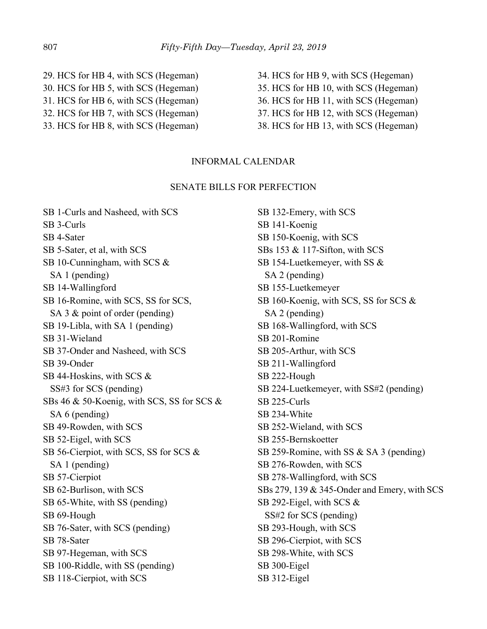- 29. HCS for HB 4, with SCS (Hegeman) 30. HCS for HB 5, with SCS (Hegeman) 31. HCS for HB 6, with SCS (Hegeman) 32. HCS for HB 7, with SCS (Hegeman) 33. HCS for HB 8, with SCS (Hegeman)
- 34. HCS for HB 9, with SCS (Hegeman) 35. HCS for HB 10, with SCS (Hegeman) 36. HCS for HB 11, with SCS (Hegeman) 37. HCS for HB 12, with SCS (Hegeman) 38. HCS for HB 13, with SCS (Hegeman)

#### INFORMAL CALENDAR

#### SENATE BILLS FOR PERFECTION

SB 1-Curls and Nasheed, with SCS SB 3-Curls SB 4-Sater SB 5-Sater, et al, with SCS SB 10-Cunningham, with SCS & SA 1 (pending) SB 14-Wallingford SB 16-Romine, with SCS, SS for SCS, SA 3 & point of order (pending) SB 19-Libla, with SA 1 (pending) SB 31-Wieland SB 37-Onder and Nasheed, with SCS SB 39-Onder SB 44-Hoskins, with SCS & SS#3 for SCS (pending) SBs 46 & 50-Koenig, with SCS, SS for SCS & SA 6 (pending) SB 49-Rowden, with SCS SB 52-Eigel, with SCS SB 56-Cierpiot, with SCS, SS for SCS & SA 1 (pending) SB 57-Cierpiot SB 62-Burlison, with SCS SB 65-White, with SS (pending) SB 69-Hough SB 76-Sater, with SCS (pending) SB 78-Sater SB 97-Hegeman, with SCS SB 100-Riddle, with SS (pending) SB 118-Cierpiot, with SCS

SB 132-Emery, with SCS SB 141-Koenig SB 150-Koenig, with SCS SBs 153 & 117-Sifton, with SCS SB 154-Luetkemeyer, with SS & SA 2 (pending) SB 155-Luetkemeyer SB 160-Koenig, with SCS, SS for SCS & SA 2 (pending) SB 168-Wallingford, with SCS SB 201-Romine SB 205-Arthur, with SCS SB 211-Wallingford SB 222-Hough SB 224-Luetkemeyer, with SS#2 (pending) SB 225-Curls SB 234-White SB 252-Wieland, with SCS SB 255-Bernskoetter SB 259-Romine, with SS & SA 3 (pending) SB 276-Rowden, with SCS SB 278-Wallingford, with SCS SBs 279, 139 & 345-Onder and Emery, with SCS SB 292-Eigel, with SCS & SS#2 for SCS (pending) SB 293-Hough, with SCS SB 296-Cierpiot, with SCS SB 298-White, with SCS SB 300-Eigel SB 312-Eigel